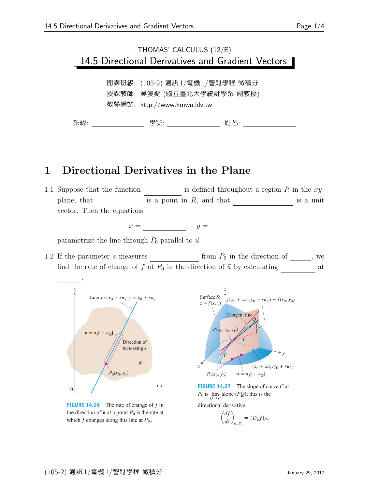# THOMAS' CALCULUS (12/E) 14.5 Directional Derivatives and Gradient Vectors

開課班級: (105-2) 通訊1/電機1/智財學程 微積分 授課教師: 吳漢銘 (國立臺北大學統計學系 副教授) 教學網站: http://www.hmwu.idv.tw

系級: 學號: 姓名:

### 1 Directional Derivatives in the Plane

1.1 Suppose that the function is defined throughout a region R in the  $xy$ plane, that  $\qquad$  is a point in R, and that  $\qquad$  is a unit vector. Then the equations

 $x = \underline{\hspace{1cm}}, \quad y =$ 

parametrize the line through  $P_0$  parallel to  $\vec{u}$ .

1.2 If the parameter s measures from  $P_0$  in the direction of  $\_\_\_\_$ , we find the rate of change of f at  $P_0$  in the direction of  $\vec{u}$  by calculating at



**FIGURE 14.26** The rate of change of  $f$  in the direction of **u** at a point  $P_0$  is the rate at which  $f$  changes along this line at  $P_0$ .



**FIGURE 14.27** The slope of curve  $C$  at  $P_0$  is  $\lim_{Q\to P}$  slope (*PQ*); this is the

directional derivative

$$
\left(\frac{df}{ds}\right)_{\mathbf{u}, P_0} = (D_{\mathbf{u}}f)_{P_0}.
$$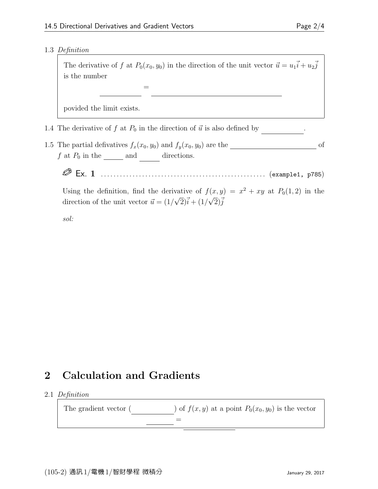ds)<br>————————————————————<br>Politics → lims→0 → lims→0 → lims→0 → lims→0 → lims→0 → lims→0 → lims→0 → lims→0 → lims→0 → lims→0 → lims→0 →

#### 1.3 Definition

The derivative of f at  $P_0(x_0, y_0)$  in the direction of the unit vector  $\vec{u} = u_1 \vec{i} + u_2 \vec{j}$ is the number

s

povided the limit exists.

1.4 The derivative of  $f$  at  $P_0$  in the direction of  $\vec{u}$  is also defined by

1.5 The partial defivatives  $f_x(x_0, y_0)$  and  $f_y(x_0, y_0)$  are the  $\qquad \qquad$  of  $f$  at  $P_0$  in the \_\_\_\_\_\_\_ and directions.

Ex. 1 . . . . . . . . . . . . . . . . . . . . . . . . . . . . . . . . . . . . . . . . . . . . . . . . . . . . (example1, p785)

Using the definition, find the derivative of  $f(x,y) = x^2 + xy$  at  $P_0(1,2)$  in the direction of the unit vector  $\vec{u} = (1/2)\vec{u}$  $\sqrt{2}$ ) $\vec{i} + (1/\sqrt{2})\vec{j}$ 

sol:

## 2 Calculation and Gradients

#### 2.1 Definition

The gradient vector ( ) of  $f(x, y)$  at a point  $P_0(x_0, y_0)$  is the vector  $=$ ∂f ∂f ∂x ∂y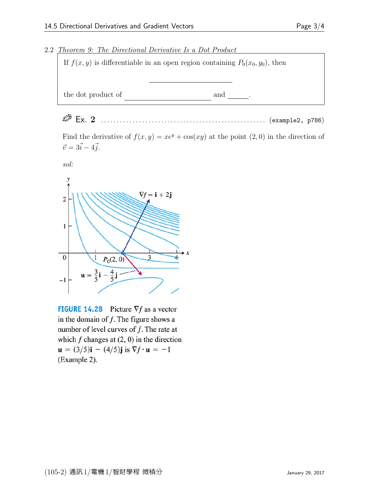#### 2.2 Theorem 9: The Directional Derivative Is a Dot Product



Ex. 2 . . . . . . . . . . . . . . . . . . . . . . . . . . . . . . . . . . . . . . . . . . . . . . . . . . . . (example2, p786)

Find the derivative of  $f(x, y) = xe^y + cos(xy)$  at the point  $(2, 0)$  in the direction of  $\vec{v} = 3\vec{i} - 4\vec{j}.$ 





**FIGURE 14.28** Picture  $\nabla f$  as a vector in the domain of  $f$ . The figure shows a number of level curves of  $f$ . The rate at which  $f$  changes at  $(2, 0)$  in the direction  $\mathbf{u} = (3/5)\mathbf{i} - (4/5)\mathbf{j}$  is  $\nabla f \cdot \mathbf{u} = -1$ (Example 2).